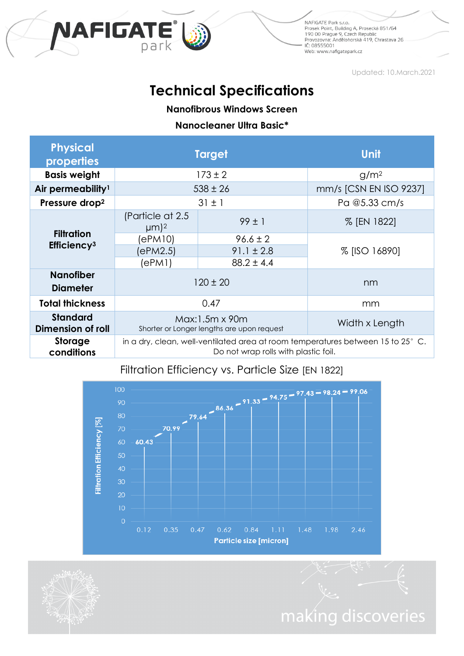

NAFIGATE Park s.r.o. ivali uzare rene silo.<br>1900: Prosek Point, Building A, Prosecká 851/64<br>1900: Prague 9, Czech Republic<br>Provozovna: Andělohorská 419, Chrastava 26 IČ: 08555001 Web: www.nafigatepark.cz

making discoveries

Updated: 10.March.2021

# **Technical Specifications**

**Nanofibrous Windows Screen**

#### **Nanocleaner Ultra Basic\***

| <b>Physical</b><br>properties                | <b>Target</b>                                                                                                           |                | <b>Unit</b>            |
|----------------------------------------------|-------------------------------------------------------------------------------------------------------------------------|----------------|------------------------|
| <b>Basis weight</b>                          | $173 \pm 2$                                                                                                             |                | g/m <sup>2</sup>       |
| Air permeability <sup>1</sup>                | $538 \pm 26$                                                                                                            |                | mm/s [CSN EN ISO 9237] |
| Pressure drop <sup>2</sup>                   | $31 \pm 1$                                                                                                              |                | Pa @5.33 cm/s          |
| <b>Filtration</b><br>Efficiency <sup>3</sup> | (Particle at 2.5)<br>$\mu$ m) <sup>2</sup>                                                                              | $99 \pm 1$     | % [EN 1822]            |
|                                              | (ePM10)                                                                                                                 | $96.6 \pm 2$   | % [ISO 16890]          |
|                                              | (ePM2.5)                                                                                                                | $91.1 \pm 2.8$ |                        |
|                                              | (ePM1)                                                                                                                  | $88.2 \pm 4.4$ |                        |
| <b>Nanofiber</b><br><b>Diameter</b>          | $120 \pm 20$                                                                                                            |                | nm                     |
| <b>Total thickness</b>                       | 0.47                                                                                                                    |                | mm                     |
| <b>Standard</b><br><b>Dimension of roll</b>  | Max:1.5m x 90m<br>Shorter or Longer lengths are upon request                                                            |                | Width x Length         |
| <b>Storage</b><br>conditions                 | in a dry, clean, well-ventilated area at room temperatures between 15 to 25° C.<br>Do not wrap rolls with plastic foil. |                |                        |



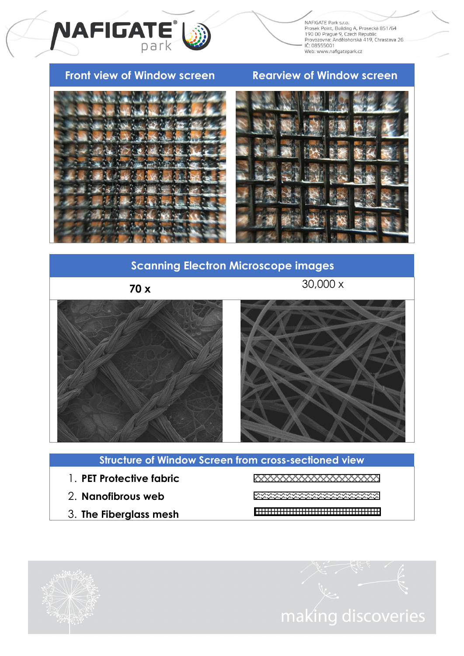NAFIGATE Park s.r.o. ivali uzare rene silo.<br>1900: Prosek Point, Building A, Prosecká 851/64<br>1900: Prague 9, Czech Republic<br>Provozovna: Andělohorská 419, Chrastava 26 IČ: 08555001 ic. 00333001<br>Web: www.nafigatepark.cz

# **Front view of Window screen Rearview of Window screen**

NAFIGATE<sup>®</sup>



# **Scanning Electron Microscope images**

**70 x**

30,000 x



### **Structure of Window Screen from cross-sectioned view**

- 1. **PET Protective fabric**
- 2. **Nanofibrous web**
- 3. **The Fiberglass mesh**

XXXXXXXXXXXXXXXXX